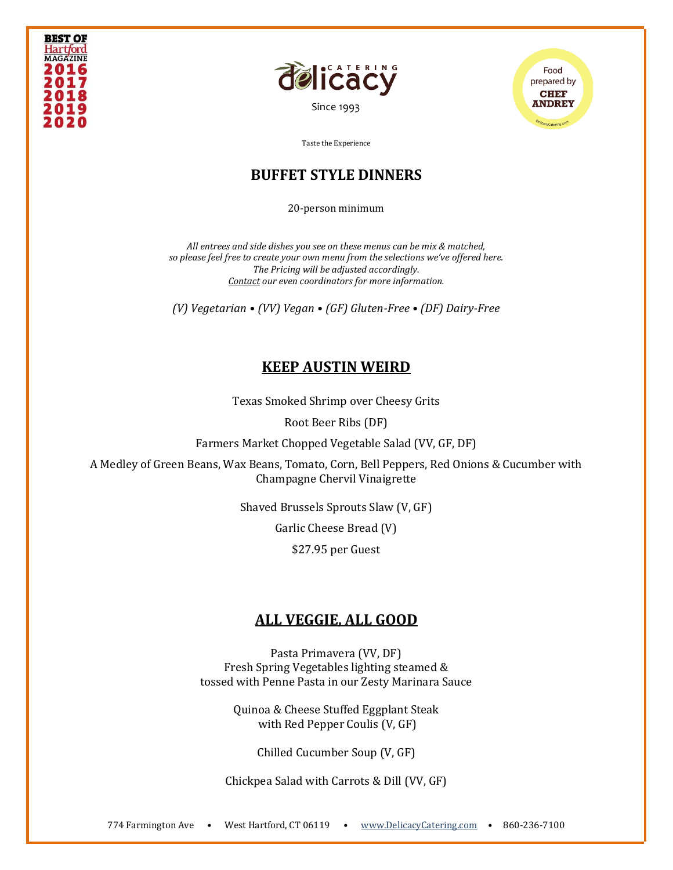





#### **BUFFET STYLE DINNERS**

20-person minimum

*All entrees and side dishes you see on these menus can be mix & matched, so please feel free to create your own menu from the selections we've offered here. The Pricing will be adjusted accordingly. [Contact](https://www.delicacycatering.com/contact) our even coordinators for more information.*

*(V) Vegetarian • (VV) Vegan • (GF) Gluten-Free • (DF) Dairy-Free*

# **KEEP AUSTIN WEIRD**

Texas Smoked Shrimp over Cheesy Grits

Root Beer Ribs (DF)

Farmers Market Chopped Vegetable Salad (VV, GF, DF)

A Medley of Green Beans, Wax Beans, Tomato, Corn, Bell Peppers, Red Onions & Cucumber with Champagne Chervil Vinaigrette

Shaved Brussels Sprouts Slaw (V, GF)

Garlic Cheese Bread (V)

\$27.95 per Guest

# **ALL VEGGIE, ALL GOOD**

Pasta Primavera (VV, DF) Fresh Spring Vegetables lighting steamed & tossed with Penne Pasta in our Zesty Marinara Sauce

> Quinoa & Cheese Stuffed Eggplant Steak with Red Pepper Coulis (V, GF)

> > Chilled Cucumber Soup (V, GF)

Chickpea Salad with Carrots & Dill (VV, GF)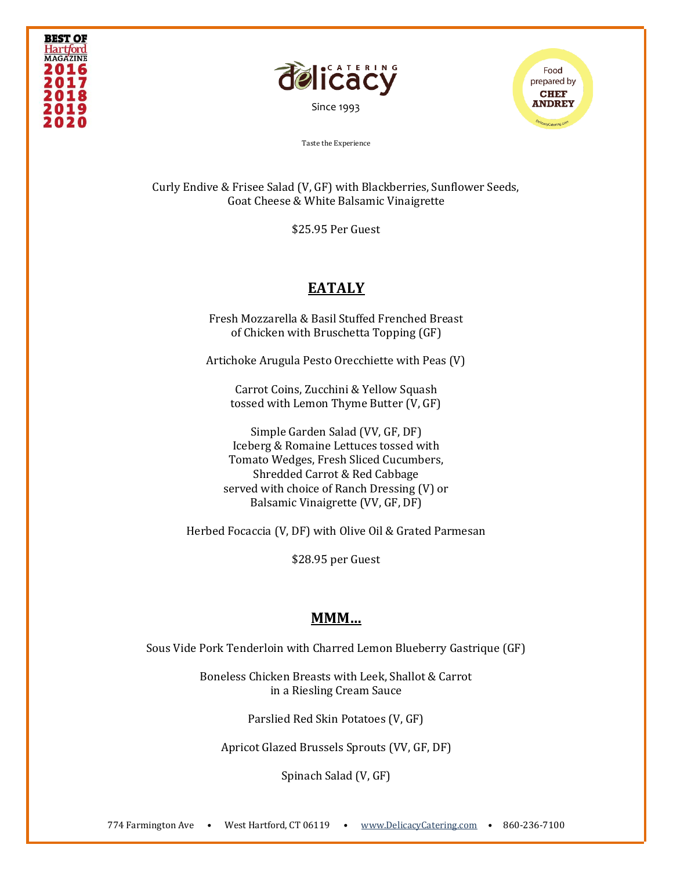





Curly Endive & Frisee Salad (V, GF) with Blackberries, Sunflower Seeds, Goat Cheese & White Balsamic Vinaigrette

\$25.95 Per Guest

# **EATALY**

Fresh Mozzarella & Basil Stuffed Frenched Breast of Chicken with Bruschetta Topping (GF)

Artichoke Arugula Pesto Orecchiette with Peas (V)

Carrot Coins, Zucchini & Yellow Squash tossed with Lemon Thyme Butter (V, GF)

Simple Garden Salad (VV, GF, DF) Iceberg & Romaine Lettuces tossed with Tomato Wedges, Fresh Sliced Cucumbers, Shredded Carrot & Red Cabbage served with choice of Ranch Dressing (V) or Balsamic Vinaigrette (VV, GF, DF)

Herbed Focaccia (V, DF) with Olive Oil & Grated Parmesan

\$28.95 per Guest

### **MMM…**

Sous Vide Pork Tenderloin with Charred Lemon Blueberry Gastrique (GF)

Boneless Chicken Breasts with Leek, Shallot & Carrot in a Riesling Cream Sauce

Parslied Red Skin Potatoes (V, GF)

Apricot Glazed Brussels Sprouts (VV, GF, DF)

Spinach Salad (V, GF)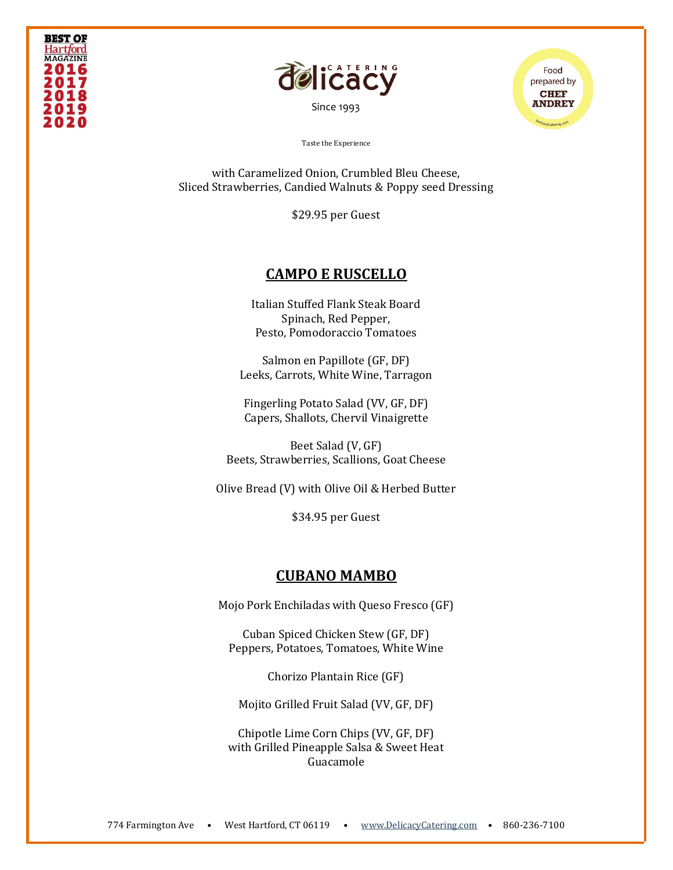



[Since 1993](file:///C:/Users/DelicacyCatering/Dropbox/DELCATERING/1%20Stationary/delicacycatering.com)



Taste the Experience

with Caramelized Onion, Crumbled Bleu Cheese, Sliced Strawberries, Candied Walnuts & Poppy seed Dressing

\$29.95 per Guest

### **CAMPO E RUSCELLO**

Italian Stuffed Flank Steak Board Spinach, Red Pepper, Pesto, Pomodoraccio Tomatoes

Salmon en Papillote (GF, DF) Leeks, Carrots, White Wine, Tarragon

Fingerling Potato Salad (VV, GF, DF) Capers, Shallots, Chervil Vinaigrette

Beet Salad (V, GF) Beets, Strawberries, Scallions, Goat Cheese

Olive Bread (V) with Olive Oil & Herbed Butter

\$34.95 per Guest

#### **CUBANO MAMBO**

Mojo Pork Enchiladas with Queso Fresco (GF)

Cuban Spiced Chicken Stew (GF, DF) Peppers, Potatoes, Tomatoes, White Wine

Chorizo Plantain Rice (GF)

Mojito Grilled Fruit Salad (VV, GF, DF)

Chipotle Lime Corn Chips (VV, GF, DF) with Grilled Pineapple Salsa & Sweet Heat Guacamole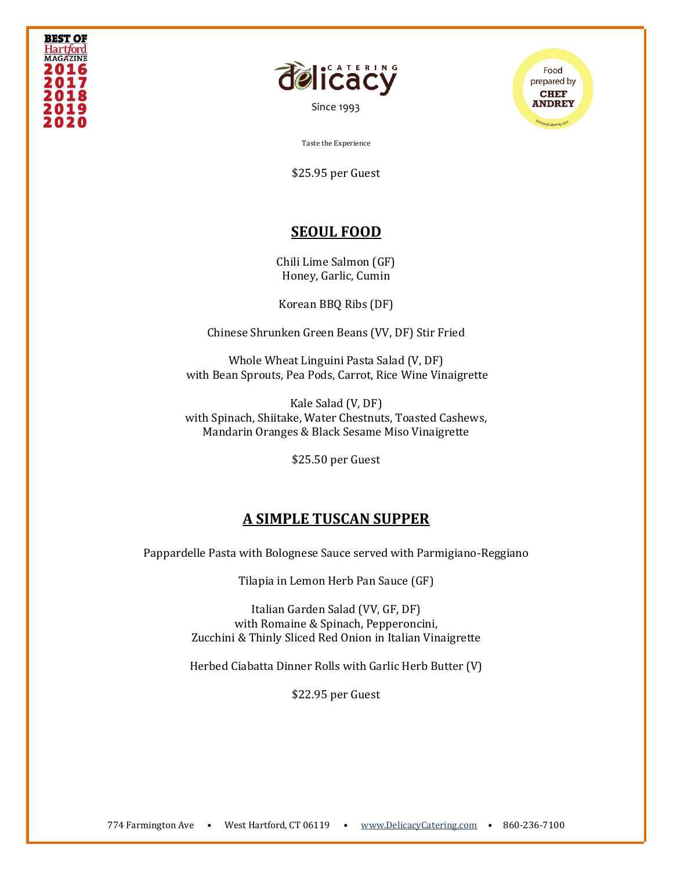



[Since 1993](file:///C:/Users/DelicacyCatering/Dropbox/DELCATERING/1%20Stationary/delicacycatering.com)



Taste the Experience

\$25.95 per Guest

### **SEOUL FOOD**

Chili Lime Salmon (GF) Honey, Garlic, Cumin

Korean BBQ Ribs (DF)

Chinese Shrunken Green Beans (VV, DF) Stir Fried

Whole Wheat Linguini Pasta Salad (V, DF) with Bean Sprouts, Pea Pods, Carrot, Rice Wine Vinaigrette

Kale Salad (V, DF) with Spinach, Shiitake, Water Chestnuts, Toasted Cashews, Mandarin Oranges & Black Sesame Miso Vinaigrette

\$25.50 per Guest

### **A SIMPLE TUSCAN SUPPER**

Pappardelle Pasta with Bolognese Sauce served with Parmigiano-Reggiano

Tilapia in Lemon Herb Pan Sauce (GF)

Italian Garden Salad (VV, GF, DF) with Romaine & Spinach, Pepperoncini, Zucchini & Thinly Sliced Red Onion in Italian Vinaigrette

Herbed Ciabatta Dinner Rolls with Garlic Herb Butter (V)

\$22.95 per Guest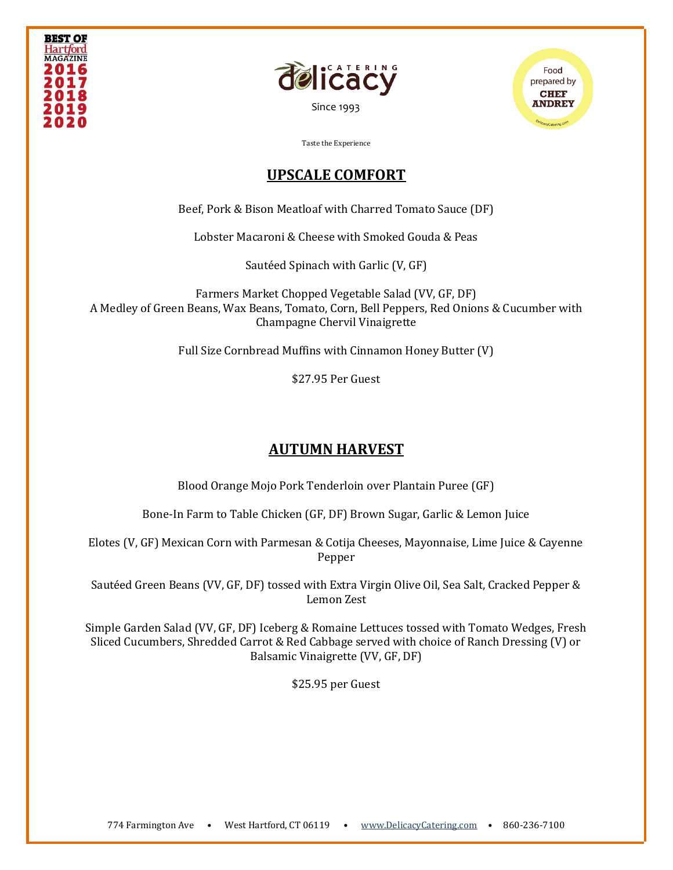





### **UPSCALE COMFORT**

Beef, Pork & Bison Meatloaf with Charred Tomato Sauce (DF)

Lobster Macaroni & Cheese with Smoked Gouda & Peas

Sautéed Spinach with Garlic (V, GF)

Farmers Market Chopped Vegetable Salad (VV, GF, DF) A Medley of Green Beans, Wax Beans, Tomato, Corn, Bell Peppers, Red Onions & Cucumber with Champagne Chervil Vinaigrette

Full Size Cornbread Muffins with Cinnamon Honey Butter (V)

\$27.95 Per Guest

# **AUTUMN HARVEST**

Blood Orange Mojo Pork Tenderloin over Plantain Puree (GF)

Bone-In Farm to Table Chicken (GF, DF) Brown Sugar, Garlic & Lemon Juice

Elotes (V, GF) Mexican Corn with Parmesan & Cotija Cheeses, Mayonnaise, Lime Juice & Cayenne Pepper

Sautéed Green Beans (VV, GF, DF) tossed with Extra Virgin Olive Oil, Sea Salt, Cracked Pepper & Lemon Zest

Simple Garden Salad (VV, GF, DF) Iceberg & Romaine Lettuces tossed with Tomato Wedges, Fresh Sliced Cucumbers, Shredded Carrot & Red Cabbage served with choice of Ranch Dressing (V) or Balsamic Vinaigrette (VV, GF, DF)

\$25.95 per Guest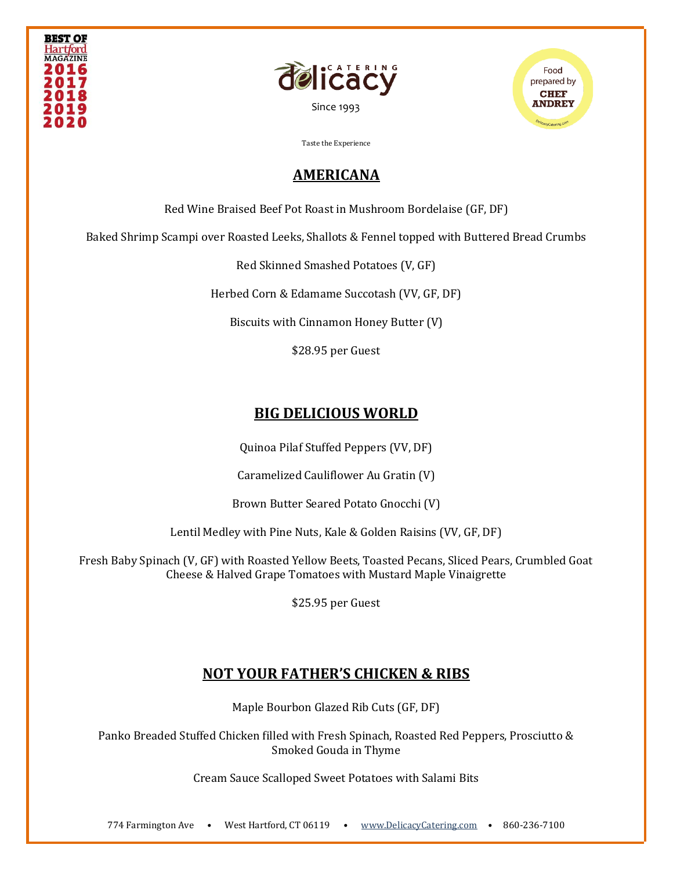





# **AMERICANA**

Red Wine Braised Beef Pot Roast in Mushroom Bordelaise (GF, DF)

Baked Shrimp Scampi over Roasted Leeks, Shallots & Fennel topped with Buttered Bread Crumbs

Red Skinned Smashed Potatoes (V, GF)

Herbed Corn & Edamame Succotash (VV, GF, DF)

Biscuits with Cinnamon Honey Butter (V)

\$28.95 per Guest

# **BIG DELICIOUS WORLD**

Quinoa Pilaf Stuffed Peppers (VV, DF)

Caramelized Cauliflower Au Gratin (V)

Brown Butter Seared Potato Gnocchi (V)

Lentil Medley with Pine Nuts, Kale & Golden Raisins (VV, GF, DF)

Fresh Baby Spinach (V, GF) with Roasted Yellow Beets, Toasted Pecans, Sliced Pears, Crumbled Goat Cheese & Halved Grape Tomatoes with Mustard Maple Vinaigrette

\$25.95 per Guest

# **NOT YOUR FATHER'S CHICKEN & RIBS**

Maple Bourbon Glazed Rib Cuts (GF, DF)

Panko Breaded Stuffed Chicken filled with Fresh Spinach, Roasted Red Peppers, Prosciutto & Smoked Gouda in Thyme

Cream Sauce Scalloped Sweet Potatoes with Salami Bits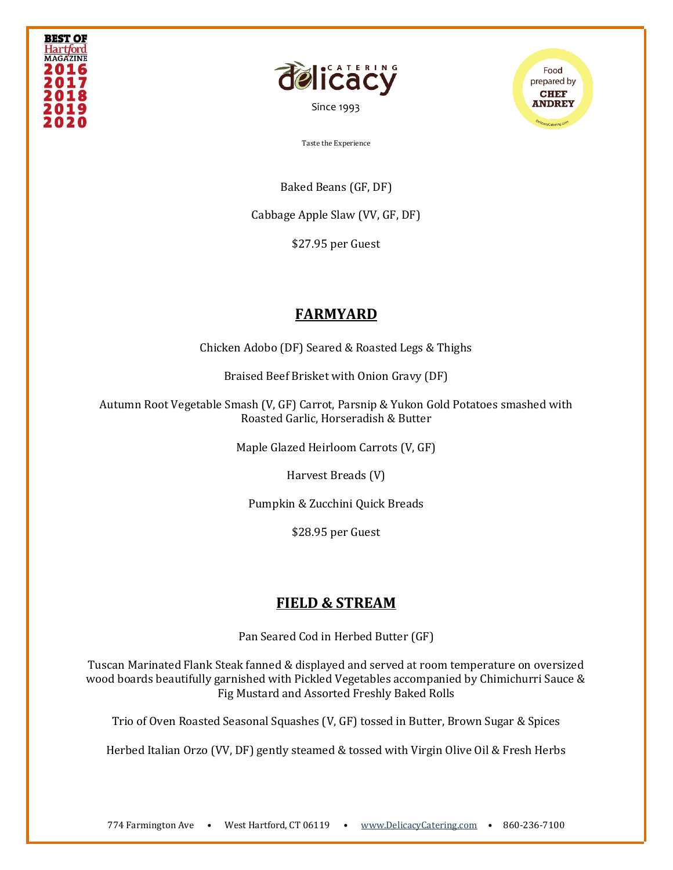





Baked Beans (GF, DF)

Cabbage Apple Slaw (VV, GF, DF)

\$27.95 per Guest

# **FARMYARD**

Chicken Adobo (DF) Seared & Roasted Legs & Thighs

Braised Beef Brisket with Onion Gravy (DF)

Autumn Root Vegetable Smash (V, GF) Carrot, Parsnip & Yukon Gold Potatoes smashed with Roasted Garlic, Horseradish & Butter

Maple Glazed Heirloom Carrots (V, GF)

Harvest Breads (V)

Pumpkin & Zucchini Quick Breads

\$28.95 per Guest

### **FIELD & STREAM**

Pan Seared Cod in Herbed Butter (GF)

Tuscan Marinated Flank Steak fanned & displayed and served at room temperature on oversized wood boards beautifully garnished with Pickled Vegetables accompanied by Chimichurri Sauce & Fig Mustard and Assorted Freshly Baked Rolls

Trio of Oven Roasted Seasonal Squashes (V, GF) tossed in Butter, Brown Sugar & Spices

Herbed Italian Orzo (VV, DF) gently steamed & tossed with Virgin Olive Oil & Fresh Herbs